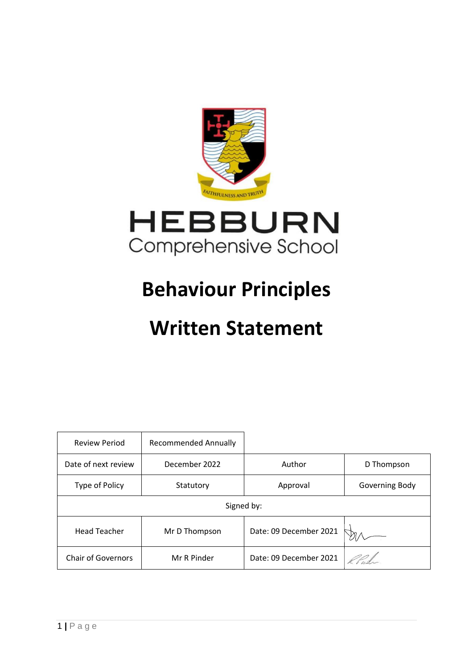

# **Behaviour Principles**

## **Written Statement**

| <b>Review Period</b>      | <b>Recommended Annually</b> |                        |                |
|---------------------------|-----------------------------|------------------------|----------------|
| Date of next review       | December 2022               | Author                 | D Thompson     |
| Type of Policy            | Statutory                   | Approval               | Governing Body |
| Signed by:                |                             |                        |                |
| <b>Head Teacher</b>       | Mr D Thompson               | Date: 09 December 2021 |                |
| <b>Chair of Governors</b> | Mr R Pinder                 | Date: 09 December 2021 |                |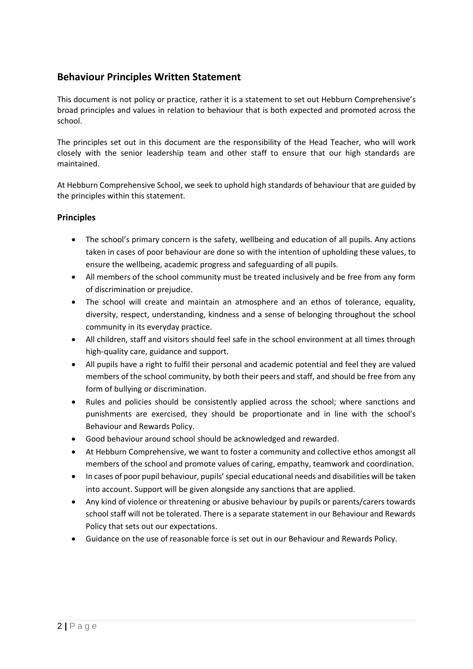## **Behaviour Principles Written Statement**

This document is not policy or practice, rather it is a statement to set out Hebburn Comprehensive's broad principles and values in relation to behaviour that is both expected and promoted across the school.

The principles set out in this document are the responsibility of the Head Teacher, who will work closely with the senior leadership team and other staff to ensure that our high standards are maintained.

At Hebburn Comprehensive School, we seek to uphold high standards of behaviour that are guided by the principles within this statement.

### **Principles**

- The school's primary concern is the safety, wellbeing and education of all pupils. Any actions taken in cases of poor behaviour are done so with the intention of upholding these values, to ensure the wellbeing, academic progress and safeguarding of all pupils.
- All members of the school community must be treated inclusively and be free from any form of discrimination or prejudice.
- The school will create and maintain an atmosphere and an ethos of tolerance, equality, diversity, respect, understanding, kindness and a sense of belonging throughout the school community in its everyday practice.
- All children, staff and visitors should feel safe in the school environment at all times through high-quality care, guidance and support.
- All pupils have a right to fulfil their personal and academic potential and feel they are valued members of the school community, by both their peers and staff, and should be free from any form of bullying or discrimination.
- Rules and policies should be consistently applied across the school; where sanctions and punishments are exercised, they should be proportionate and in line with the school's Behaviour and Rewards Policy.
- Good behaviour around school should be acknowledged and rewarded.
- At Hebburn Comprehensive, we want to foster a community and collective ethos amongst all members of the school and promote values of caring, empathy, teamwork and coordination.
- In cases of poor pupil behaviour, pupils'special educational needs and disabilities will be taken into account. Support will be given alongside any sanctions that are applied.
- Any kind of violence or threatening or abusive behaviour by pupils or parents/carers towards school staff will not be tolerated. There is a separate statement in our Behaviour and Rewards Policy that sets out our expectations.
- Guidance on the use of reasonable force is set out in our Behaviour and Rewards Policy.